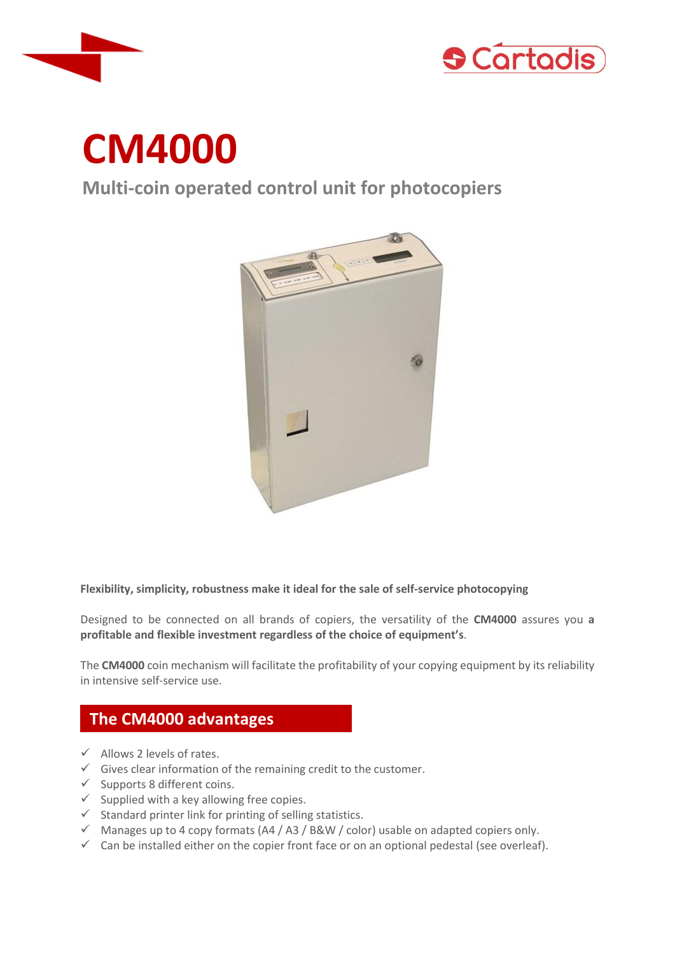



# **CM4000**

**Multi-coin operated control unit for photocopiers**



**Flexibility, simplicity, robustness make it ideal for the sale of self-service photocopying**

Designed to be connected on all brands of copiers, the versatility of the **CM4000** assures you **a profitable and flexible investment regardless of the choice of equipment's**.

The **CM4000** coin mechanism will facilitate the profitability of your copying equipment by its reliability in intensive self-service use.

### **The CM4000 advantages**

- $\checkmark$  Allows 2 levels of rates.
- $\checkmark$  Gives clear information of the remaining credit to the customer.
- $\checkmark$  Supports 8 different coins.
- $\checkmark$  Supplied with a key allowing free copies.
- $\checkmark$  Standard printer link for printing of selling statistics.
- $\checkmark$  Manages up to 4 copy formats (A4 / A3 / B&W / color) usable on adapted copiers only.
- $\checkmark$  Can be installed either on the copier front face or on an optional pedestal (see overleaf).